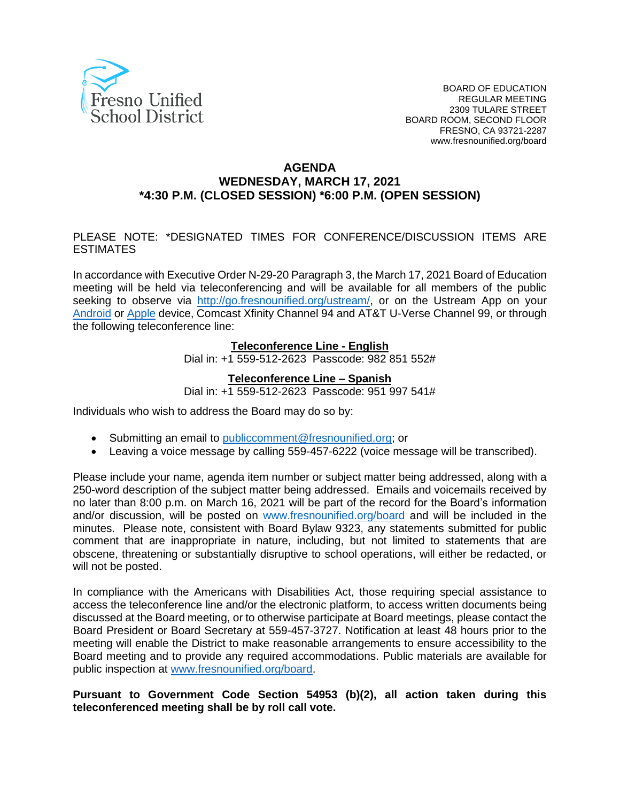

#### **AGENDA WEDNESDAY, MARCH 17, 2021 \*4:30 P.M. (CLOSED SESSION) \*6:00 P.M. (OPEN SESSION)**

#### PLEASE NOTE: \*DESIGNATED TIMES FOR CONFERENCE/DISCUSSION ITEMS ARE ESTIMATES

In accordance with Executive Order N-29-20 Paragraph 3, the March 17, 2021 Board of Education meeting will be held via teleconferencing and will be available for all members of the public seeking to observe via [http://go.fresnounified.org/ustream/,](http://go.fresnounified.org/ustream/) or on the Ustream App on your [Android](https://play.google.com/store/apps/details?id=tv.ustream.ustream&hl=en_US) or [Apple](https://itunes.apple.com/us/app/ustream/id301520250?mt=8) device, Comcast Xfinity Channel 94 and AT&T U-Verse Channel 99, or through the following teleconference line:

#### **Teleconference Line - English**

Dial in: +1 559-512-2623 Passcode: 982 851 552#

#### **Teleconference Line – Spanish**

Dial in: +1 559-512-2623 Passcode: 951 997 541#

Individuals who wish to address the Board may do so by:

- Submitting an email to [publiccomment@fresnounified.org;](mailto:publiccomment@fresnounified.org) or
- Leaving a voice message by calling 559-457-6222 (voice message will be transcribed).

Please include your name, agenda item number or subject matter being addressed, along with a 250-word description of the subject matter being addressed. Emails and voicemails received by no later than 8:00 p.m. on March 16, 2021 will be part of the record for the Board's information and/or discussion, will be posted on [www.fresnounified.org/board](http://www.fresnounified.org/board) and will be included in the minutes. Please note, consistent with Board Bylaw 9323, any statements submitted for public comment that are inappropriate in nature, including, but not limited to statements that are obscene, threatening or substantially disruptive to school operations, will either be redacted, or will not be posted.

In compliance with the Americans with Disabilities Act, those requiring special assistance to access the teleconference line and/or the electronic platform, to access written documents being discussed at the Board meeting, or to otherwise participate at Board meetings, please contact the Board President or Board Secretary at 559-457-3727. Notification at least 48 hours prior to the meeting will enable the District to make reasonable arrangements to ensure accessibility to the Board meeting and to provide any required accommodations. Public materials are available for public inspection at [www.fresnounified.org/board.](http://www.fresnounified.org/board)

#### **Pursuant to Government Code Section 54953 (b)(2), all action taken during this teleconferenced meeting shall be by roll call vote.**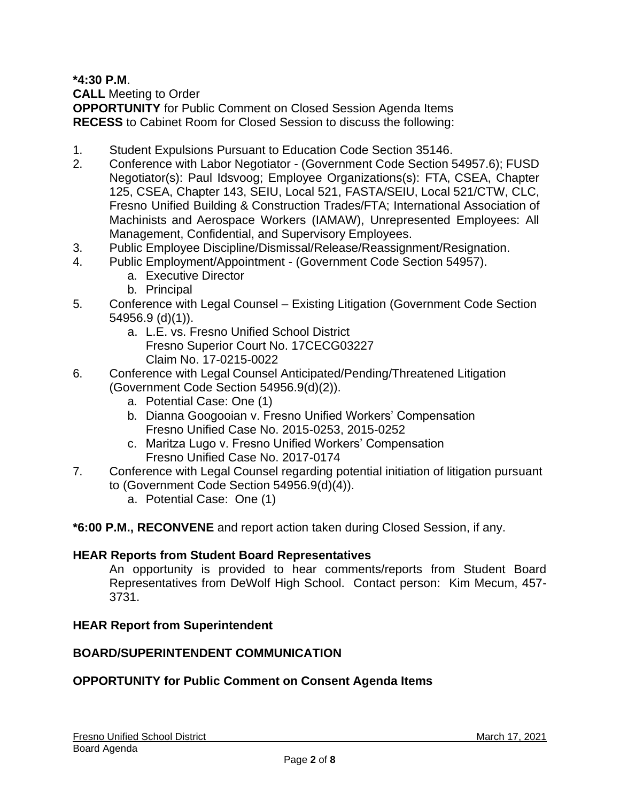**\*4:30 P.M**.

**CALL** Meeting to Order

**OPPORTUNITY** for Public Comment on Closed Session Agenda Items **RECESS** to Cabinet Room for Closed Session to discuss the following:

- 1. Student Expulsions Pursuant to Education Code Section 35146.
- 2. Conference with Labor Negotiator (Government Code Section 54957.6); FUSD Negotiator(s): Paul Idsvoog; Employee Organizations(s): FTA, CSEA, Chapter 125, CSEA, Chapter 143, SEIU, Local 521, FASTA/SEIU, Local 521/CTW, CLC, Fresno Unified Building & Construction Trades/FTA; International Association of Machinists and Aerospace Workers (IAMAW), Unrepresented Employees: All Management, Confidential, and Supervisory Employees.
- 3. Public Employee Discipline/Dismissal/Release/Reassignment/Resignation.
- 4. Public Employment/Appointment (Government Code Section 54957).
	- a. Executive Director
	- b. Principal
- 5. Conference with Legal Counsel Existing Litigation (Government Code Section 54956.9 (d)(1)).
	- a. L.E. vs. Fresno Unified School District Fresno Superior Court No. 17CECG03227 Claim No. 17-0215-0022
- 6. Conference with Legal Counsel Anticipated/Pending/Threatened Litigation (Government Code Section 54956.9(d)(2)).
	- a. Potential Case: One (1)
	- b. Dianna Googooian v. Fresno Unified Workers' Compensation Fresno Unified Case No. 2015-0253, 2015-0252
	- c. Maritza Lugo v. Fresno Unified Workers' Compensation Fresno Unified Case No. 2017-0174
- 7. Conference with Legal Counsel regarding potential initiation of litigation pursuant to (Government Code Section 54956.9(d)(4)).
	- a. Potential Case: One (1)

**\*6:00 P.M., RECONVENE** and report action taken during Closed Session, if any.

### **HEAR Reports from Student Board Representatives**

An opportunity is provided to hear comments/reports from Student Board Representatives from DeWolf High School. Contact person: Kim Mecum, 457- 3731.

### **HEAR Report from Superintendent**

### **BOARD/SUPERINTENDENT COMMUNICATION**

## **OPPORTUNITY for Public Comment on Consent Agenda Items**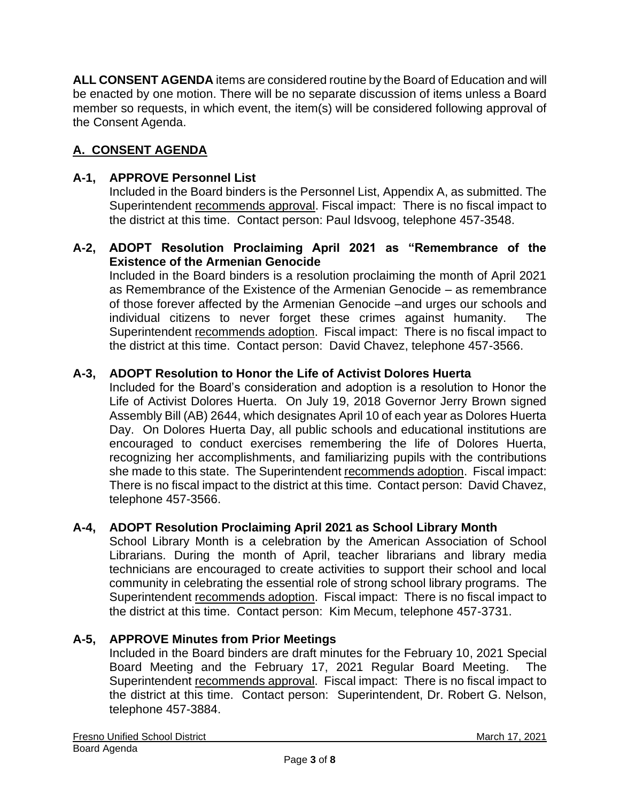**ALL CONSENT AGENDA** items are considered routine by the Board of Education and will be enacted by one motion. There will be no separate discussion of items unless a Board member so requests, in which event, the item(s) will be considered following approval of the Consent Agenda.

# **A. CONSENT AGENDA**

### **A-1, APPROVE Personnel List**

Included in the Board binders is the Personnel List, Appendix A, as submitted. The Superintendent recommends approval. Fiscal impact: There is no fiscal impact to the district at this time. Contact person: Paul Idsvoog, telephone 457-3548.

#### **A-2, ADOPT Resolution Proclaiming April 2021 as "Remembrance of the Existence of the Armenian Genocide**

Included in the Board binders is a resolution proclaiming the month of April 2021 as Remembrance of the Existence of the Armenian Genocide – as remembrance of those forever affected by the Armenian Genocide –and urges our schools and individual citizens to never forget these crimes against humanity. The Superintendent recommends adoption. Fiscal impact: There is no fiscal impact to the district at this time. Contact person: David Chavez, telephone 457-3566.

### **A-3, ADOPT Resolution to Honor the Life of Activist Dolores Huerta**

Included for the Board's consideration and adoption is a resolution to Honor the Life of Activist Dolores Huerta. On July 19, 2018 Governor Jerry Brown signed Assembly Bill (AB) 2644, which designates April 10 of each year as Dolores Huerta Day. On Dolores Huerta Day, all public schools and educational institutions are encouraged to conduct exercises remembering the life of Dolores Huerta, recognizing her accomplishments, and familiarizing pupils with the contributions she made to this state. The Superintendent recommends adoption. Fiscal impact: There is no fiscal impact to the district at this time. Contact person: David Chavez, telephone 457-3566.

### **A-4, ADOPT Resolution Proclaiming April 2021 as School Library Month**

School Library Month is a celebration by the American Association of School Librarians. During the month of April, teacher librarians and library media technicians are encouraged to create activities to support their school and local community in celebrating the essential role of strong school library programs. The Superintendent recommends adoption. Fiscal impact: There is no fiscal impact to the district at this time. Contact person: Kim Mecum, telephone 457-3731.

### **A-5, APPROVE Minutes from Prior Meetings**

Included in the Board binders are draft minutes for the February 10, 2021 Special Board Meeting and the February 17, 2021 Regular Board Meeting. The Superintendent recommends approval. Fiscal impact: There is no fiscal impact to the district at this time. Contact person: Superintendent, Dr. Robert G. Nelson, telephone 457-3884.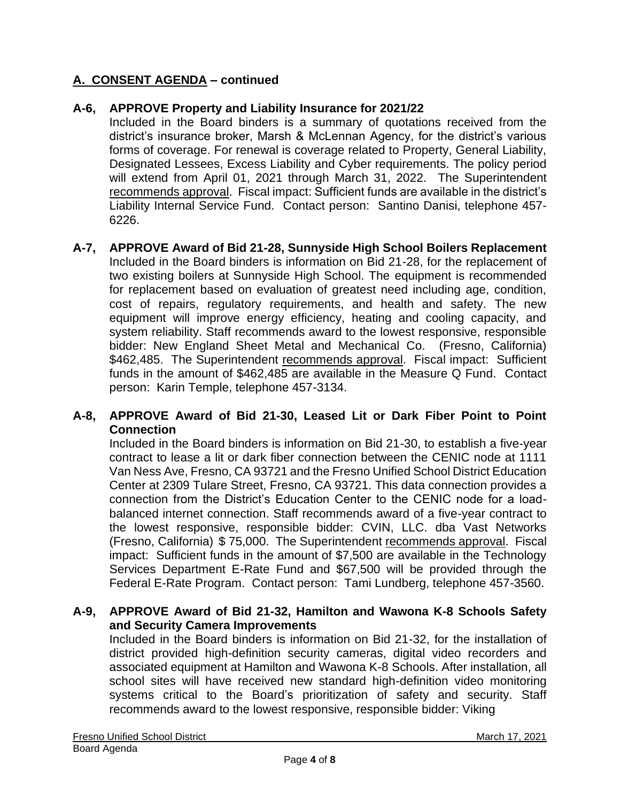### **A. CONSENT AGENDA – continued**

#### **A-6, APPROVE Property and Liability Insurance for 2021/22**

Included in the Board binders is a summary of quotations received from the district's insurance broker, Marsh & McLennan Agency, for the district's various forms of coverage. For renewal is coverage related to Property, General Liability, Designated Lessees, Excess Liability and Cyber requirements. The policy period will extend from April 01, 2021 through March 31, 2022. The Superintendent recommends approval. Fiscal impact: Sufficient funds are available in the district's Liability Internal Service Fund. Contact person: Santino Danisi, telephone 457- 6226.

#### **A-7, APPROVE Award of Bid 21-28, Sunnyside High School Boilers Replacement** Included in the Board binders is information on Bid 21-28, for the replacement of two existing boilers at Sunnyside High School. The equipment is recommended for replacement based on evaluation of greatest need including age, condition, cost of repairs, regulatory requirements, and health and safety. The new equipment will improve energy efficiency, heating and cooling capacity, and system reliability. Staff recommends award to the lowest responsive, responsible bidder: New England Sheet Metal and Mechanical Co. (Fresno, California) \$462,485. The Superintendent recommends approval. Fiscal impact: Sufficient funds in the amount of \$462,485 are available in the Measure Q Fund. Contact person: Karin Temple, telephone 457-3134.

#### **A-8, APPROVE Award of Bid 21-30, Leased Lit or Dark Fiber Point to Point Connection**

Included in the Board binders is information on Bid 21-30, to establish a five-year contract to lease a lit or dark fiber connection between the CENIC node at 1111 Van Ness Ave, Fresno, CA 93721 and the Fresno Unified School District Education Center at 2309 Tulare Street, Fresno, CA 93721. This data connection provides a connection from the District's Education Center to the CENIC node for a loadbalanced internet connection. Staff recommends award of a five-year contract to the lowest responsive, responsible bidder: CVIN, LLC. dba Vast Networks (Fresno, California) \$ 75,000. The Superintendent recommends approval. Fiscal impact: Sufficient funds in the amount of \$7,500 are available in the Technology Services Department E-Rate Fund and \$67,500 will be provided through the Federal E-Rate Program. Contact person: Tami Lundberg, telephone 457-3560.

#### **A-9, APPROVE Award of Bid 21-32, Hamilton and Wawona K-8 Schools Safety and Security Camera Improvements**

Included in the Board binders is information on Bid 21-32, for the installation of district provided high-definition security cameras, digital video recorders and associated equipment at Hamilton and Wawona K-8 Schools. After installation, all school sites will have received new standard high-definition video monitoring systems critical to the Board's prioritization of safety and security. Staff recommends award to the lowest responsive, responsible bidder: Viking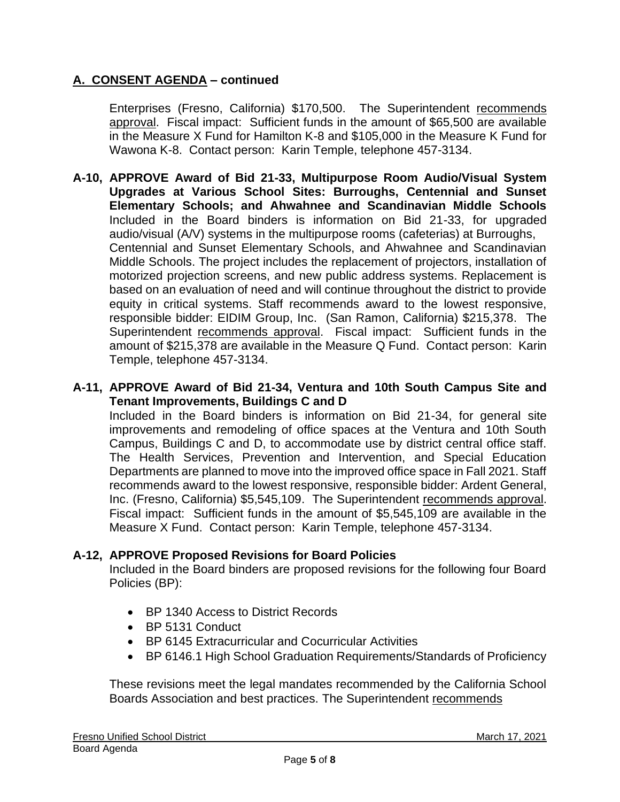### **A. CONSENT AGENDA – continued**

Enterprises (Fresno, California) \$170,500. The Superintendent recommends approval. Fiscal impact: Sufficient funds in the amount of \$65,500 are available in the Measure X Fund for Hamilton K-8 and \$105,000 in the Measure K Fund for Wawona K-8. Contact person: Karin Temple, telephone 457-3134.

**A-10, APPROVE Award of Bid 21-33, Multipurpose Room Audio/Visual System Upgrades at Various School Sites: Burroughs, Centennial and Sunset Elementary Schools; and Ahwahnee and Scandinavian Middle Schools**  Included in the Board binders is information on Bid 21-33, for upgraded audio/visual (A/V) systems in the multipurpose rooms (cafeterias) at Burroughs, Centennial and Sunset Elementary Schools, and Ahwahnee and Scandinavian Middle Schools. The project includes the replacement of projectors, installation of motorized projection screens, and new public address systems. Replacement is based on an evaluation of need and will continue throughout the district to provide equity in critical systems. Staff recommends award to the lowest responsive, responsible bidder: EIDIM Group, Inc. (San Ramon, California) \$215,378. The Superintendent recommends approval. Fiscal impact: Sufficient funds in the amount of \$215,378 are available in the Measure Q Fund. Contact person: Karin Temple, telephone 457-3134.

#### **A-11, APPROVE Award of Bid 21-34, Ventura and 10th South Campus Site and Tenant Improvements, Buildings C and D**

Included in the Board binders is information on Bid 21-34, for general site improvements and remodeling of office spaces at the Ventura and 10th South Campus, Buildings C and D, to accommodate use by district central office staff. The Health Services, Prevention and Intervention, and Special Education Departments are planned to move into the improved office space in Fall 2021. Staff recommends award to the lowest responsive, responsible bidder: Ardent General, Inc. (Fresno, California) \$5,545,109. The Superintendent recommends approval. Fiscal impact: Sufficient funds in the amount of \$5,545,109 are available in the Measure X Fund. Contact person: Karin Temple, telephone 457-3134.

### **A-12, APPROVE Proposed Revisions for Board Policies**

Included in the Board binders are proposed revisions for the following four Board Policies (BP):

- BP 1340 Access to District Records
- BP 5131 Conduct
- BP 6145 Extracurricular and Cocurricular Activities
- BP 6146.1 High School Graduation Requirements/Standards of Proficiency

These revisions meet the legal mandates recommended by the California School Boards Association and best practices. The Superintendent recommends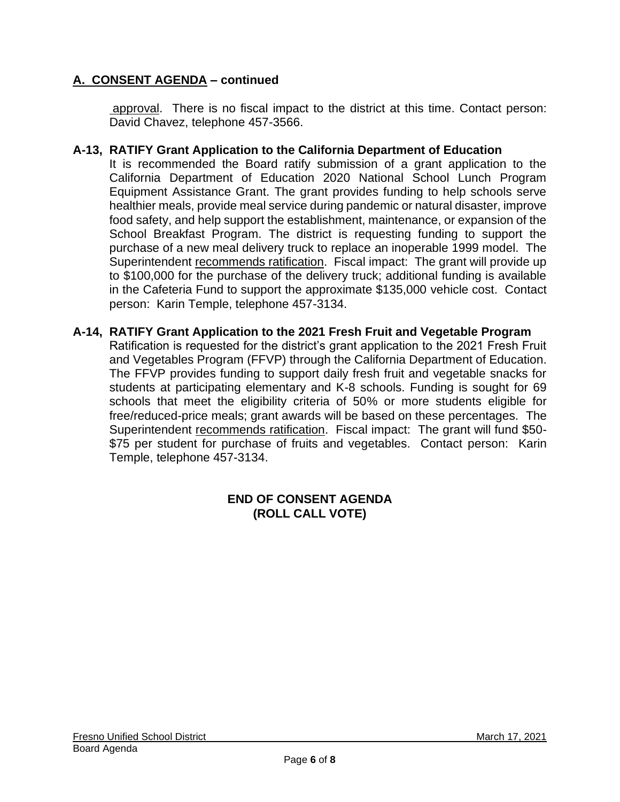### **A. CONSENT AGENDA – continued**

approval. There is no fiscal impact to the district at this time. Contact person: David Chavez, telephone 457-3566.

#### **A-13, RATIFY Grant Application to the California Department of Education**

It is recommended the Board ratify submission of a grant application to the California Department of Education 2020 National School Lunch Program Equipment Assistance Grant. The grant provides funding to help schools serve healthier meals, provide meal service during pandemic or natural disaster, improve food safety, and help support the establishment, maintenance, or expansion of the School Breakfast Program. The district is requesting funding to support the purchase of a new meal delivery truck to replace an inoperable 1999 model. The Superintendent recommends ratification. Fiscal impact: The grant will provide up to \$100,000 for the purchase of the delivery truck; additional funding is available in the Cafeteria Fund to support the approximate \$135,000 vehicle cost. Contact person: Karin Temple, telephone 457-3134.

#### **A-14, RATIFY Grant Application to the 2021 Fresh Fruit and Vegetable Program**

Ratification is requested for the district's grant application to the 2021 Fresh Fruit and Vegetables Program (FFVP) through the California Department of Education. The FFVP provides funding to support daily fresh fruit and vegetable snacks for students at participating elementary and K-8 schools. Funding is sought for 69 schools that meet the eligibility criteria of 50% or more students eligible for free/reduced-price meals; grant awards will be based on these percentages. The Superintendent recommends ratification. Fiscal impact: The grant will fund \$50- \$75 per student for purchase of fruits and vegetables. Contact person: Karin Temple, telephone 457-3134.

#### **END OF CONSENT AGENDA (ROLL CALL VOTE)**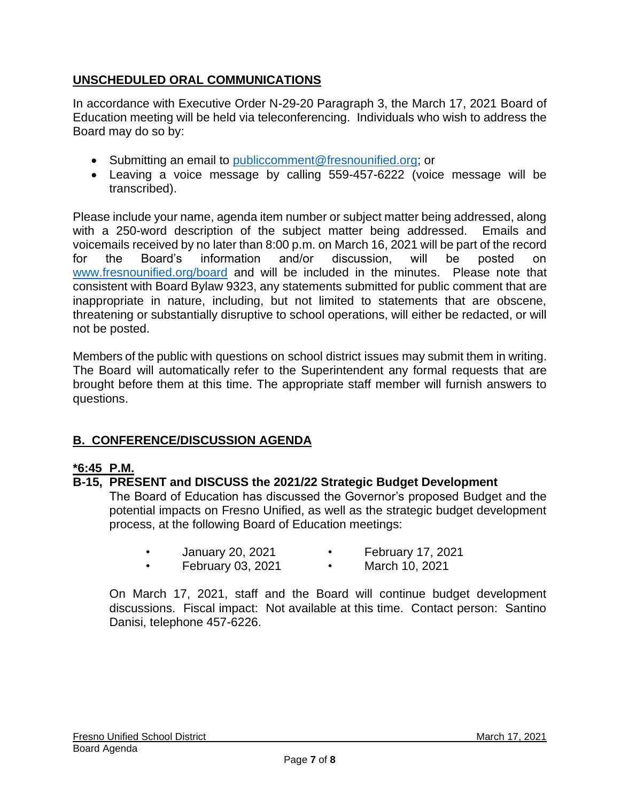## **UNSCHEDULED ORAL COMMUNICATIONS**

In accordance with Executive Order N-29-20 Paragraph 3, the March 17, 2021 Board of Education meeting will be held via teleconferencing. Individuals who wish to address the Board may do so by:

- Submitting an email to [publiccomment@fresnounified.org;](mailto:publiccomment@fresnounified.org) or
- Leaving a voice message by calling 559-457-6222 (voice message will be transcribed).

Please include your name, agenda item number or subject matter being addressed, along with a 250-word description of the subject matter being addressed. Emails and voicemails received by no later than 8:00 p.m. on March 16, 2021 will be part of the record for the Board's information and/or discussion, will be posted on [www.fresnounified.org/board](http://www.fresnounified.org/board) and will be included in the minutes. Please note that consistent with Board Bylaw 9323, any statements submitted for public comment that are inappropriate in nature, including, but not limited to statements that are obscene, threatening or substantially disruptive to school operations, will either be redacted, or will not be posted.

Members of the public with questions on school district issues may submit them in writing. The Board will automatically refer to the Superintendent any formal requests that are brought before them at this time. The appropriate staff member will furnish answers to questions.

# **B. CONFERENCE/DISCUSSION AGENDA**

## **\*6:45 P.M.**

## **B-15, PRESENT and DISCUSS the 2021/22 Strategic Budget Development**

The Board of Education has discussed the Governor's proposed Budget and the potential impacts on Fresno Unified, as well as the strategic budget development process, at the following Board of Education meetings:

- January 20, 2021 February 17, 2021
- February 03, 2021 March 10, 2021

On March 17, 2021, staff and the Board will continue budget development discussions. Fiscal impact: Not available at this time. Contact person: Santino Danisi, telephone 457-6226.